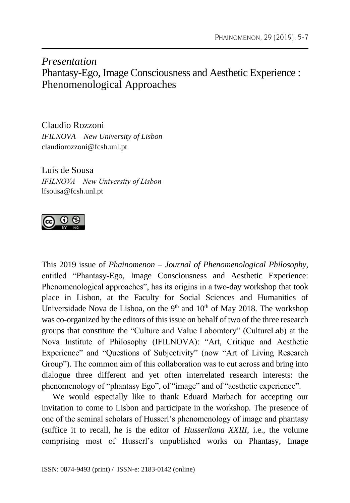## *Presentation* Phantasy-Ego, Image Consciousness and Aesthetic Experience : Phenomenological Approaches

Claudio Rozzoni *IFILNOVA – New University of Lisbon* claudiorozzoni@fcsh.unl.pt

Luís de Sousa *IFILNOVA – New University of Lisbon* lfsousa@fcsh.unl.pt



This 2019 issue of *Phainomenon – Journal of Phenomenological Philosophy*, entitled "Phantasy-Ego, Image Consciousness and Aesthetic Experience: Phenomenological approaches", has its origins in a two-day workshop that took place in Lisbon, at the Faculty for Social Sciences and Humanities of Universidade Nova de Lisboa, on the  $9<sup>th</sup>$  and  $10<sup>th</sup>$  of May 2018. The workshop was co-organized by the editors of this issue on behalf of two of the three research groups that constitute the "Culture and Value Laboratory" (CultureLab) at the Nova Institute of Philosophy (IFILNOVA): "Art, Critique and Aesthetic Experience" and "Questions of Subjectivity" (now "Art of Living Research Group"). The common aim of this collaboration was to cut across and bring into dialogue three different and yet often interrelated research interests: the phenomenology of "phantasy Ego", of "image" and of "aesthetic experience".

We would especially like to thank Eduard Marbach for accepting our invitation to come to Lisbon and participate in the workshop. The presence of one of the seminal scholars of Husserl's phenomenology of image and phantasy (suffice it to recall, he is the editor of *Husserliana XXIII*, i.e., the volume comprising most of Husserl's unpublished works on Phantasy, Image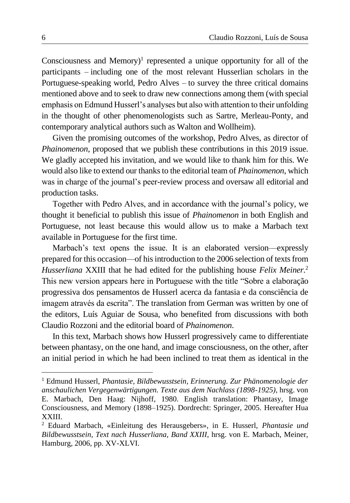Consciousness and Memory $)^1$  represented a unique opportunity for all of the participants – including one of the most relevant Husserlian scholars in the Portuguese-speaking world, Pedro Alves – to survey the three critical domains mentioned above and to seek to draw new connections among them (with special emphasis on Edmund Husserl's analyses but also with attention to their unfolding in the thought of other phenomenologists such as Sartre, Merleau-Ponty, and contemporary analytical authors such as Walton and Wollheim).

Given the promising outcomes of the workshop, Pedro Alves, as director of *Phainomenon*, proposed that we publish these contributions in this 2019 issue. We gladly accepted his invitation, and we would like to thank him for this. We would also like to extend our thanks to the editorial team of *Phainomenon*, which was in charge of the journal's peer-review process and oversaw all editorial and production tasks.

Together with Pedro Alves, and in accordance with the journal's policy, we thought it beneficial to publish this issue of *Phainomenon* in both English and Portuguese, not least because this would allow us to make a Marbach text available in Portuguese for the first time.

Marbach's text opens the issue. It is an elaborated version—expressly prepared for this occasion––of his introduction to the 2006 selection of texts from *Husserliana* XXIII that he had edited for the publishing house *Felix Meiner.*<sup>2</sup> This new version appears here in Portuguese with the title "Sobre a elaboração progressiva dos pensamentos de Husserl acerca da fantasia e da consciência de imagem através da escrita". The translation from German was written by one of the editors, Luís Aguiar de Sousa, who benefited from discussions with both Claudio Rozzoni and the editorial board of *Phainomenon*.

In this text, Marbach shows how Husserl progressively came to differentiate between phantasy, on the one hand, and image consciousness, on the other, after an initial period in which he had been inclined to treat them as identical in the

<sup>1</sup> Edmund Husserl, *Phantasie, Bildbewusstsein, Erinnerung. Zur Phänomenologie der anschaulichen Vergegenwärtigungen. Texte aus dem Nachlass (1898-1925)*, hrsg. von E. Marbach, Den Haag: Nijhoff, 1980. English translation: Phantasy, Image Consciousness, and Memory (1898–1925). Dordrecht: Springer, 2005. Hereafter Hua XXIII.

<sup>2</sup> Eduard Marbach, «Einleitung des Herausgebers», in E. Husserl, *Phantasie und Bildbewusstsein, Text nach Husserliana, Band XXIII*, hrsg. von E. Marbach, Meiner, Hamburg, 2006, pp. XV-XLVI.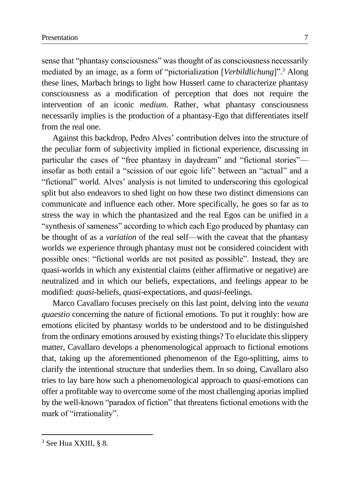sense that "phantasy consciousness" was thought of as consciousness necessarily mediated by an image, as a form of "pictorialization [*Verbildlichung*]".<sup>3</sup> Along these lines, Marbach brings to light how Husserl came to characterize phantasy consciousness as a modification of perception that does not require the intervention of an iconic *medium*. Rather, what phantasy consciousness necessarily implies is the production of a phantasy-Ego that differentiates itself from the real one.

Against this backdrop, Pedro Alves' contribution delves into the structure of the peculiar form of subjectivity implied in fictional experience, discussing in particular the cases of "free phantasy in daydream" and "fictional stories"–– insofar as both entail a "scission of our egoic life" between an "actual" and a "fictional" world. Alves' analysis is not limited to underscoring this egological split but also endeavors to shed light on how these two distinct dimensions can communicate and influence each other. More specifically, he goes so far as to stress the way in which the phantasized and the real Egos can be unified in a "synthesis of sameness" according to which each Ego produced by phantasy can be thought of as a *variation* of the real self––with the caveat that the phantasy worlds we experience through phantasy must not be considered coincident with possible ones: "fictional worlds are not posited as possible". Instead, they are quasi-worlds in which any existential claims (either affirmative or negative) are neutralized and in which our beliefs, expectations, and feelings appear to be modified: *quasi*-beliefs, *quasi*-expectations, and *quasi*-feelings.

Marco Cavallaro focuses precisely on this last point, delving into the *vexata quaestio* concerning the nature of fictional emotions. To put it roughly: how are emotions elicited by phantasy worlds to be understood and to be distinguished from the ordinary emotions aroused by existing things? To elucidate this slippery matter, Cavallaro develops a phenomenological approach to fictional emotions that, taking up the aforementioned phenomenon of the Ego-splitting, aims to clarify the intentional structure that underlies them. In so doing, Cavallaro also tries to lay bare how such a phenomenological approach to *quasi*-emotions can offer a profitable way to overcome some of the most challenging aporias implied by the well-known "paradox of fiction" that threatens fictional emotions with the mark of "irrationality".

<sup>3</sup> See Hua XXIII, § 8.